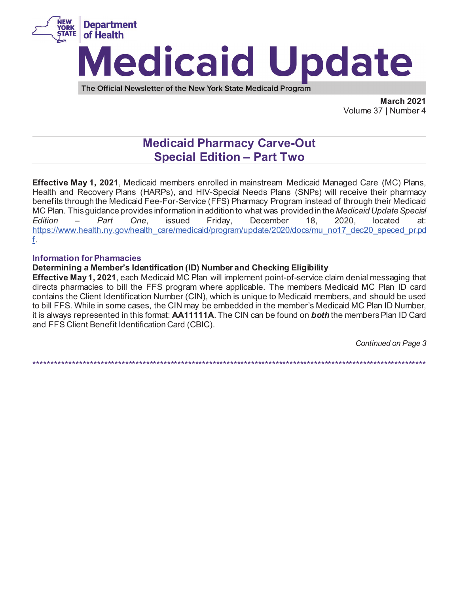

**March 2021**  Volume 37 | Number 4

# **Medicaid Pharmacy Carve-Out Special Edition – Part Two**

**Effective May 1, 2021**, Medicaid members enrolled in mainstream Medicaid Managed Care (MC) Plans, Health and Recovery Plans (HARPs), and HIV-Special Needs Plans (SNPs) will receive their pharmacy benefits through the Medicaid Fee-For-Service (FFS) Pharmacy Program instead of through their Medicaid MC Plan. This guidance provides information in addition to what was provided in the *Medicaid Update Special Edition – Part One*, issued Friday, December 18, 2020, located at: https://www.health.ny.gov/health\_care/medicaid/program/update/2020/docs/mu\_no17\_dec20\_speced\_pr.pd f.

### **Information for Pharmacies**

# **Determining a Member's Identification (ID) Number and Checking Eligibility**

**Effective May 1, 2021**, each Medicaid MC Plan will implement point-of-service claim denial messaging that directs pharmacies to bill the FFS program where applicable. The members Medicaid MC Plan ID card contains the Client Identification Number (CIN), which is unique to Medicaid members, and should be used to bill FFS. While in some cases, the CIN may be embedded in the member's Medicaid MC Plan ID Number, it is always represented in this format: **AA11111A**. The CIN can be found on *both* the members Plan ID Card and FFS Client Benefit Identification Card (CBIC).

*Continued on Page 3* 

\*\*\*\*\*\*\*\*\*\*\*\*\*\*\*\*\*\*\*\*\*\*\*\*\*\*\*\*\*\*\*\*\*\*\*\*\*\*\*\*\*\*\*\*\*\*\*\*\*\*\*\*\*\*\*\*\*\*\*\*\*\*\*\*\*\*\*\*\*\*\*\*\*\*\*\*\*\*\*\*\*\*\*\*\*\*\*\*\*\*\*\*\*\*\*\*\*\*\*\*\*\*\*\*\*\*\*\*\*\*\*\*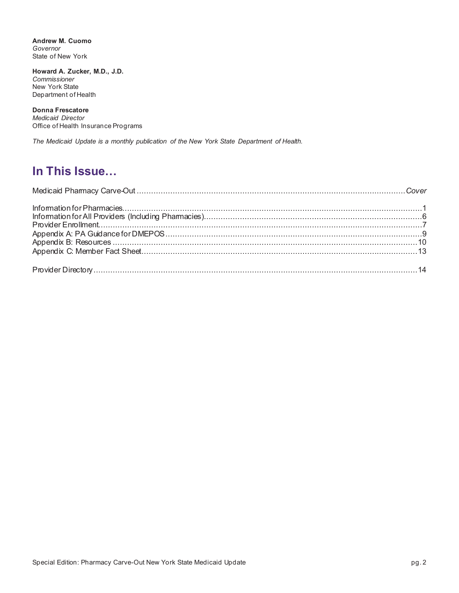**Andrew M. Cuomo**  *Governor*  State of New York

**Howard A. Zucker, M.D., J.D.**  *Commissioner*  New York State Department of Health

**Donna Frescatore**  *Medicaid Director*  Office of Health Insurance Programs

*The Medicaid Update is a monthly publication of the New York State Department of Health.* 

# **In This Issue…**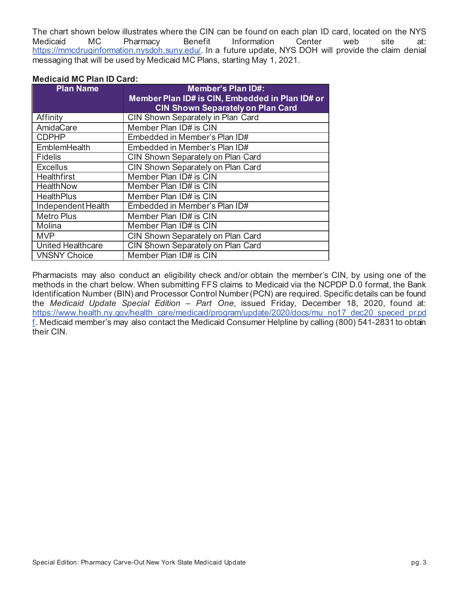The chart shown below illustrates where the CIN can be found on each plan ID card, located on the NYS Medicaid MC Pharmacy Benefit Information Center web site at: https://mmcdruginformation.nysdoh.suny.edu/. In a future update, NYS DOH will provide the claim denial messaging that will be used by Medicaid MC Plans, starting May 1, 2021.

#### **Medicaid MC Plan ID Card:**

| <b>Plan Name</b>         | <b>Member's Plan ID#:</b>                       |  |  |
|--------------------------|-------------------------------------------------|--|--|
|                          | Member Plan ID# is CIN, Embedded in Plan ID# or |  |  |
|                          | <b>CIN Shown Separately on Plan Card</b>        |  |  |
| Affinity                 | CIN Shown Separately in Plan Card               |  |  |
| AmidaCare                | Member Plan ID# is CIN                          |  |  |
| <b>CDPHP</b>             | Embedded in Member's Plan ID#                   |  |  |
| <b>EmblemHealth</b>      | Embedded in Member's Plan ID#                   |  |  |
| <b>Fidelis</b>           | CIN Shown Separately on Plan Card               |  |  |
| <b>Excellus</b>          | CIN Shown Separately on Plan Card               |  |  |
| <b>Healthfirst</b>       | Member Plan ID# is CIN                          |  |  |
| HealthNow                | Member Plan ID# is CIN                          |  |  |
| <b>HealthPlus</b>        | Member Plan ID# is CIN                          |  |  |
| Independent Health       | Embedded in Member's Plan ID#                   |  |  |
| <b>Metro Plus</b>        | Member Plan ID# is CIN                          |  |  |
| Molina                   | Member Plan ID# is CIN                          |  |  |
| <b>MVP</b>               | CIN Shown Separately on Plan Card               |  |  |
| <b>United Healthcare</b> | CIN Shown Separately on Plan Card               |  |  |
| <b>VNSNY Choice</b>      | Member Plan ID# is CIN                          |  |  |

Pharmacists may also conduct an eligibility check and/or obtain the member's CIN, by using one of the methods in the chart below. When submitting FFS claims to Medicaid via the NCPDP D.0 format, the Bank Identification Number (BIN) and Processor Control Number (PCN) are required. Specific details can be found the *Medicaid Update Special Edition – Part One*, issued Friday, December 18, 2020, found at: https://www.health.ny.gov/health\_care/medicaid/program/update/2020/docs/mu\_no17\_dec20\_speced\_pr.pd f. Medicaid member's may also contact the Medicaid Consumer Helpline by calling (800) 541-2831 to obtain their CIN.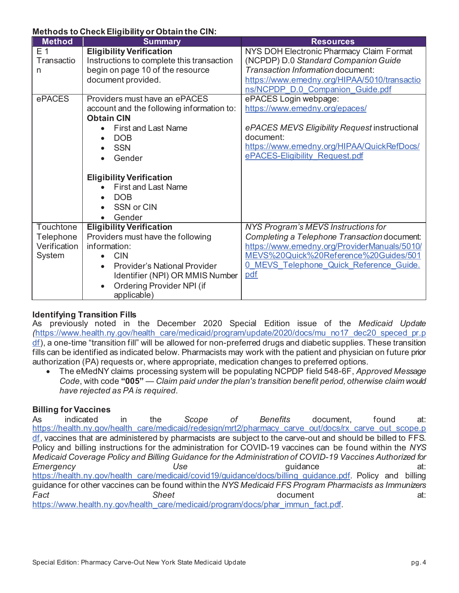### **Methods to Check Eligibility or Obtain the CIN:**

| <b>Method</b>    | <b>Summary</b>                                   | <b>Resources</b>                               |
|------------------|--------------------------------------------------|------------------------------------------------|
| E <sub>1</sub>   | <b>Eligibility Verification</b>                  | NYS DOH Electronic Pharmacy Claim Format       |
| Transactio       | Instructions to complete this transaction        | (NCPDP) D.0 Standard Companion Guide           |
| n                | begin on page 10 of the resource                 | Transaction Information document:              |
|                  | document provided.                               | https://www.emedny.org/HIPAA/5010/transactio   |
|                  |                                                  | ns/NCPDP D.0 Companion Guide.pdf               |
| ePACES           | Providers must have an ePACES                    | ePACES Login webpage:                          |
|                  | account and the following information to:        | https://www.emedny.org/epaces/                 |
|                  | <b>Obtain CIN</b>                                |                                                |
|                  | <b>First and Last Name</b>                       | ePACES MEVS Eligibility Request instructional  |
|                  | <b>DOB</b>                                       | document:                                      |
|                  | <b>SSN</b>                                       | https://www.emedny.org/HIPAA/QuickRefDocs/     |
|                  | Gender                                           | ePACES-Eligibility Request.pdf                 |
|                  |                                                  |                                                |
|                  | <b>Eligibility Verification</b>                  |                                                |
|                  | <b>First and Last Name</b>                       |                                                |
|                  | <b>DOB</b>                                       |                                                |
|                  | SSN or CIN                                       |                                                |
|                  | Gender                                           |                                                |
| <b>Touchtone</b> | <b>Eligibility Verification</b>                  | NYS Program's MEVS Instructions for            |
| Telephone        | Providers must have the following                | Completing a Telephone Transaction document:   |
| Verification     | information:                                     | https://www.emedny.org/ProviderManuals/5010/   |
| System           | <b>CIN</b>                                       | MEVS%20Quick%20Reference%20Guides/501          |
|                  | <b>Provider's National Provider</b><br>$\bullet$ | <u>O MEVS Telephone Quick Reference Guide.</u> |
|                  | Identifier (NPI) OR MMIS Number                  | pdf                                            |
|                  | Ordering Provider NPI (if<br>$\bullet$           |                                                |
|                  | applicable)                                      |                                                |

# **Identifying Transition Fills**

As previously noted in the December 2020 Special Edition issue of the *Medicaid Update (*https://www.health.ny.gov/health\_care/medicaid/program/update/2020/docs/mu\_no17\_dec20\_speced\_pr.p df), a one-time "transition fill" will be allowed for non-preferred drugs and diabetic supplies. These transition fills can be identified as indicated below. Pharmacists may work with the patient and physician on future prior authorization (PA) requests or, where appropriate, medication changes to preferred options.

x The eMedNY claims processing system will be populating NCPDP field 548-6F, *Approved Message Code*, with code **"005"** — *Claim paid under the plan's transition benefit period, otherwise claim would have rejected as PA is required*.

# **Billing for Vaccines**

As indicated in the *Scope of Benefits* document, found at: https://health.ny.gov/health\_care/medicaid/redesign/mrt2/pharmacy\_carve\_out/docs/rx\_carve\_out\_scope.p df, vaccines that are administered by pharmacists are subject to the carve-out and should be billed to FFS. Policy and billing instructions for the administration for COVID-19 vaccines can be found within the *NYS Medicaid Coverage Policy and Billing Guidance for the Administration of COVID-19 Vaccines Authorized for*  **Emergency** at: **Use** Use at: **Use** at: https://health.ny.gov/health\_care/medicaid/covid19/guidance/docs/billing\_guidance.pdf. Policy\_and billing guidance for other vaccines can be found within the *NYS Medicaid FFS Program Pharmacists as Immunizers*  **Fact** at: Sheet Sheet **Sheet document** at: https://www.health.ny.gov/health\_care/medicaid/program/docs/phar\_immun\_fact.pdf.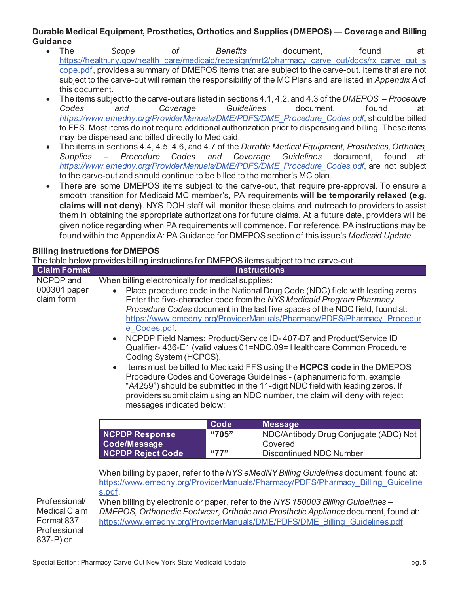# **Durable Medical Equipment, Prosthetics, Orthotics and Supplies (DMEPOS) — Coverage and Billing Guidance**

- The *Scope of Benefits* document, found at: https://health.ny.gov/health\_care/medicaid/redesign/mrt2/pharmacy\_carve\_out/docs/rx\_carve\_out\_s cope.pdf, provides a summary of DMEPOS items that are subject to the carve-out. Items that are not subject to the carve-out will remain the responsibility of the MC Plans and are listed in *Appendix A* of this document.
- x The items subject to the carve-out are listed in sections 4.1, 4.2, and 4.3 of the *DMEPOS Procedure Codes and Coverage Guidelines* document, found at: *https://www.emedny.org/ProviderManuals/DME/PDFS/DME\_Procedure\_Codes.pdf*, should be billed to FFS. Most items do not require additional authorization prior to dispensing and billing. These items may be dispensed and billed directly to Medicaid.
- The items in sections 4.4, 4.5, 4.6, and 4.7 of the *Durable Medical Equipment, Prosthetics, Orthotics, Supplies – Procedure Codes and Coverage Guidelines* document, found at: *https://www.emedny.org/ProviderManuals/DME/PDFS/DME\_Procedure\_Codes.pdf*, are not subject to the carve-out and should continue to be billed to the member's MC plan.
- There are some DMEPOS items subject to the carve-out, that require pre-approval. To ensure a smooth transition for Medicaid MC member's, PA requirements **will be temporarily relaxed (e.g. claims will not deny)**. NYS DOH staff will monitor these claims and outreach to providers to assist them in obtaining the appropriate authorizations for future claims. At a future date, providers will be given notice regarding when PA requirements will commence. For reference, PA instructions may be found within the Appendix A: PA Guidance for DMEPOS section of this issue's *Medicaid Update*.

# **Billing Instructions for DMEPOS**

The table below provides billing instructions for DMEPOS items subject to the carve-out.

| <b>Claim Format</b>  | <b>Instructions</b>                                                                                                                                                      |       |                                                                               |
|----------------------|--------------------------------------------------------------------------------------------------------------------------------------------------------------------------|-------|-------------------------------------------------------------------------------|
| NCPDP and            | When billing electronically for medical supplies:                                                                                                                        |       |                                                                               |
| 000301 paper         | Place procedure code in the National Drug Code (NDC) field with leading zeros.                                                                                           |       |                                                                               |
| claim form           |                                                                                                                                                                          |       | Enter the five-character code from the NYS Medicaid Program Pharmacy          |
|                      |                                                                                                                                                                          |       | Procedure Codes document in the last five spaces of the NDC field, found at:  |
|                      |                                                                                                                                                                          |       | https://www.emedny.org/ProviderManuals/Pharmacy/PDFS/Pharmacy Procedur        |
|                      | e Codes.pdf.                                                                                                                                                             |       |                                                                               |
|                      |                                                                                                                                                                          |       | NCPDP Field Names: Product/Service ID-407-D7 and Product/Service ID           |
|                      |                                                                                                                                                                          |       | Qualifier- 436-E1 (valid values 01=NDC,09= Healthcare Common Procedure        |
|                      | Coding System (HCPCS).                                                                                                                                                   |       |                                                                               |
|                      | $\bullet$                                                                                                                                                                |       | Items must be billed to Medicaid FFS using the HCPCS code in the DMEPOS       |
|                      |                                                                                                                                                                          |       | Procedure Codes and Coverage Guidelines - (alphanumeric form, example         |
|                      |                                                                                                                                                                          |       | "A4259") should be submitted in the 11-digit NDC field with leading zeros. If |
|                      |                                                                                                                                                                          |       | providers submit claim using an NDC number, the claim will deny with reject   |
|                      | messages indicated below:                                                                                                                                                |       |                                                                               |
|                      |                                                                                                                                                                          |       |                                                                               |
|                      |                                                                                                                                                                          | Code  | <b>Message</b>                                                                |
|                      | <b>NCPDP Response</b>                                                                                                                                                    | "705" | NDC/Antibody Drug Conjugate (ADC) Not                                         |
|                      | <b>Code/Message</b>                                                                                                                                                      |       | Covered                                                                       |
|                      | <b>NCPDP Reject Code</b>                                                                                                                                                 | "77"  | <b>Discontinued NDC Number</b>                                                |
|                      |                                                                                                                                                                          |       |                                                                               |
|                      | When billing by paper, refer to the NYS eMedNY Billing Guidelines document, found at:<br>https://www.emedny.org/ProviderManuals/Pharmacy/PDFS/Pharmacy Billing Guideline |       |                                                                               |
|                      | s.pdf.                                                                                                                                                                   |       |                                                                               |
| Professional/        |                                                                                                                                                                          |       |                                                                               |
| <b>Medical Claim</b> | When billing by electronic or paper, refer to the NYS 150003 Billing Guidelines -<br>DMEPOS, Orthopedic Footwear, Orthotic and Prosthetic Appliance document, found at:  |       |                                                                               |
| Format 837           | https://www.emedny.org/ProviderManuals/DME/PDFS/DME Billing Guidelines.pdf.                                                                                              |       |                                                                               |
| Professional         |                                                                                                                                                                          |       |                                                                               |
| 837-P) or            |                                                                                                                                                                          |       |                                                                               |
|                      |                                                                                                                                                                          |       |                                                                               |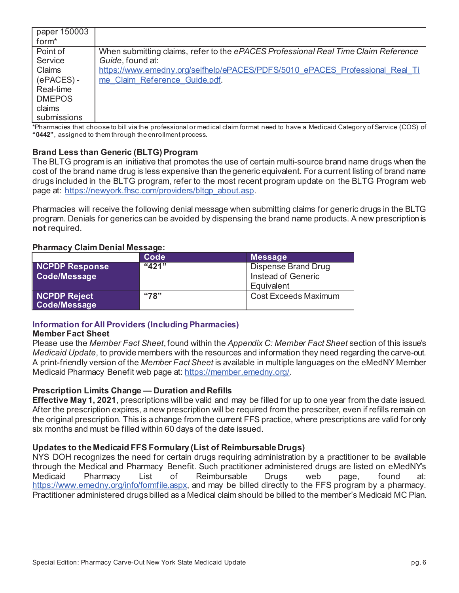| paper 150003      |                                                                                    |
|-------------------|------------------------------------------------------------------------------------|
| form <sup>*</sup> |                                                                                    |
| Point of          | When submitting claims, refer to the ePACES Professional Real Time Claim Reference |
| Service           | Guide, found at:                                                                   |
| Claims            | https://www.emedny.org/selfhelp/ePACES/PDFS/5010 ePACES Professional Real Ti       |
| (ePACES)-         | me Claim Reference Guide.pdf.                                                      |
| Real-time         |                                                                                    |
| <b>DMEPOS</b>     |                                                                                    |
| claims            |                                                                                    |
| submissions       |                                                                                    |

\*Pharmacies that choose to bill via the professional or medical claim format need to have a Medicaid Category of Service (COS) of **"0442"**, assigned to them through the enrollment process.

### **Brand Less than Generic (BLTG) Program**

The BLTG program is an initiative that promotes the use of certain multi-source brand name drugs when the cost of the brand name drug is less expensive than the generic equivalent. For a current listing of brand name drugs included in the BLTG program, refer to the most recent program update on the BLTG Program web page at: https://newyork.fhsc.com/providers/bltgp\_about.asp.

Pharmacies will receive the following denial message when submitting claims for generic drugs in the BLTG program. Denials for generics can be avoided by dispensing the brand name products. A new prescription is **not** required.

#### **Pharmacy Claim Denial Message:**

|                              | Code  | <b>Message</b>              |
|------------------------------|-------|-----------------------------|
| <b>NCPDP Response</b>        | "421" | Dispense Brand Drug         |
| Code/Message                 |       | Instead of Generic          |
|                              |       | Equivalent                  |
| NCPDP Reject<br>Code/Message | "78"  | <b>Cost Exceeds Maximum</b> |

# **Information for All Providers (Including Pharmacies)**

#### **Member Fact Sheet**

Please use the *Member Fact Sheet*, found within the *Appendix C: Member Fact Sheet* section of this issue's *Medicaid Update*, to provide members with the resources and information they need regarding the carve-out. A print-friendly version of the *Member Fact Sheet* is available in multiple languages on the eMedNY Member Medicaid Pharmacy Benefit web page at: https://member.emedny.org/.

#### **Prescription Limits Change — Duration and Refills**

**Effective May 1, 2021**, prescriptions will be valid and may be filled for up to one year from the date issued. After the prescription expires, a new prescription will be required from the prescriber, even if refills remain on the original prescription. This is a change from the current FFS practice, where prescriptions are valid for only six months and must be filled within 60 days of the date issued.

#### **Updates to the Medicaid FFS Formulary (List of Reimbursable Drugs)**

NYS DOH recognizes the need for certain drugs requiring administration by a practitioner to be available through the Medical and Pharmacy Benefit. Such practitioner administered drugs are listed on eMedNY's<br>Medicaid Pharmacy List of Reimbursable Drugs web page found at Pharmacy List of Reimbursable Drugs web page, found at: https://www.emedny.org/info/formfile.aspx, and may be billed directly to the FFS program by a pharmacy. Practitioner administered drugs billed as a Medical claim should be billed to the member's Medicaid MC Plan.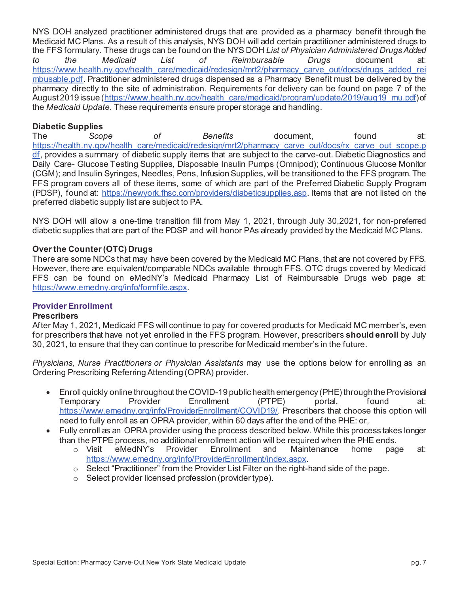NYS DOH analyzed practitioner administered drugs that are provided as a pharmacy benefit through the Medicaid MC Plans. As a result of this analysis, NYS DOH will add certain practitioner administered drugs to the FFS formulary. These drugs can be found on the NYS DOH *List of Physician Administered Drugs Added to the Medicaid List of Reimbursable Drugs* document at: https://www.health.ny.gov/health\_care/medicaid/redesign/mrt2/pharmacy\_carve\_out/docs/drugs\_added\_rei mbusable.pdf. Practitioner administered drugs dispensed as a Pharmacy Benefit must be delivered by the pharmacy directly to the site of administration. Requirements for delivery can be found on page 7 of the August 2019 issue (https://www.health.ny.gov/health\_care/medicaid/program/update/2019/aug19\_mu.pdf) of the *Medicaid Update*. These requirements ensure proper storage and handling.

### **Diabetic Supplies**

The *Scope of Benefits* document, found at: https://health.ny.gov/health\_care/medicaid/redesign/mrt2/pharmacy\_carve\_out/docs/rx\_carve\_out\_scope.p df, provides a summary of diabetic supply items that are subject to the carve-out. Diabetic Diagnostics and Daily Care- Glucose Testing Supplies, Disposable Insulin Pumps (Omnipod); Continuous Glucose Monitor (CGM); and Insulin Syringes, Needles, Pens, Infusion Supplies, will be transitioned to the FFS program. The FFS program covers all of these items, some of which are part of the Preferred Diabetic Supply Program (PDSP), found at: https://newyork.fhsc.com/providers/diabeticsupplies.asp. Items that are not listed on the preferred diabetic supply list are subject to PA.

NYS DOH will allow a one-time transition fill from May 1, 2021, through July 30,2021, for non-preferred diabetic supplies that are part of the PDSP and will honor PAs already provided by the Medicaid MC Plans.

#### **Over the Counter (OTC) Drugs**

There are some NDCs that may have been covered by the Medicaid MC Plans, that are not covered by FFS. However, there are equivalent/comparable NDCs available through FFS. OTC drugs covered by Medicaid FFS can be found on eMedNY's Medicaid Pharmacy List of Reimbursable Drugs web page at: https://www.emedny.org/info/formfile.aspx.

# **Provider Enrollment**

#### **Prescribers**

After May 1, 2021, Medicaid FFS will continue to pay for covered products for Medicaid MC member's, even for prescribers that have not yet enrolled in the FFS program. However, prescribers **should enroll** by July 30, 2021, to ensure that they can continue to prescribe for Medicaid member's in the future.

*Physicians, Nurse Practitioners or Physician Assistants* may use the options below for enrolling as an Ordering Prescribing Referring Attending (OPRA) provider.

- $\bullet$  Enroll quickly online throughout the COVID-19 public health emergency (PHE) through the Provisional Temporary Provider Enrollment (PTPE) portal, found at: https://www.emedny.org/info/ProviderEnrollment/COVID19/. Prescribers that choose this option will need to fully enroll as an OPRA provider, within 60 days after the end of the PHE: or,
- Fully enroll as an OPRA provider using the process described below. While this process takes longer than the PTPE process, no additional enrollment action will be required when the PHE ends.<br>  $\circ$  Visit eMedNY's Provider Enrollment and Maintenance home page
	- o Visit eMedNY's Provider Enrollment and Maintenance home page at: https://www.emedny.org/info/ProviderEnrollment/index.aspx.
	- $\circ$  Select "Practitioner" from the Provider List Filter on the right-hand side of the page.
	- o Select provider licensed profession (provider type).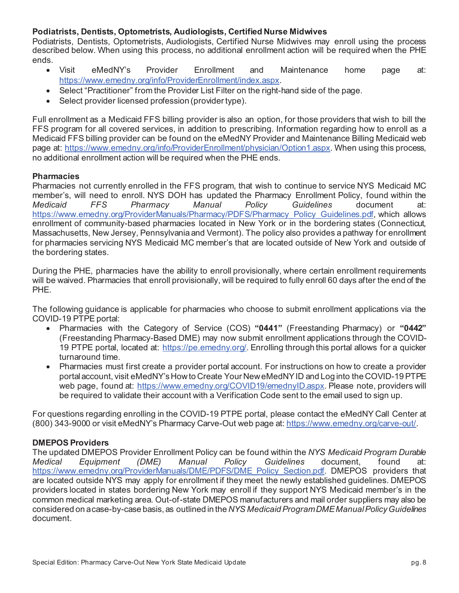### **Podiatrists, Dentists, Optometrists, Audiologists, Certified Nurse Midwives**

Podiatrists, Dentists, Optometrists, Audiologists, Certified Nurse Midwives may enroll using the process described below. When using this process, no additional enrollment action will be required when the PHE ends.

- Visit eMedNY's Provider Enrollment and Maintenance home page at: https://www.emedny.org/info/ProviderEnrollment/index.aspx.
- Select "Practitioner" from the Provider List Filter on the right-hand side of the page.
- Select provider licensed profession (provider type).

Full enrollment as a Medicaid FFS billing provider is also an option, for those providers that wish to bill the FFS program for all covered services, in addition to prescribing. Information regarding how to enroll as a Medicaid FFS billing provider can be found on the eMedNY Provider and Maintenance Billing Medicaid web page at: https://www.emedny.org/info/ProviderEnrollment/physician/Option1.aspx. When using this process, no additional enrollment action will be required when the PHE ends.

#### **Pharmacies**

Pharmacies not currently enrolled in the FFS program, that wish to continue to service NYS Medicaid MC member's, will need to enroll. NYS DOH has updated the Pharmacy Enrollment Policy, found within the *Medicaid FFS Pharmacy Manual Policy Guidelines* document at: https://www.emedny.org/ProviderManuals/Pharmacy/PDFS/Pharmacy\_Policy\_Guidelines.pdf, which allows enrollment of community-based pharmacies located in New York or in the bordering states (Connecticut, Massachusetts, New Jersey, Pennsylvania and Vermont). The policy also provides a pathway for enrollment for pharmacies servicing NYS Medicaid MC member's that are located outside of New York and outside of the bordering states.

During the PHE, pharmacies have the ability to enroll provisionally, where certain enrollment requirements will be waived. Pharmacies that enroll provisionally, will be required to fully enroll 60 days after the end of the PHE.

The following guidance is applicable for pharmacies who choose to submit enrollment applications via the COVID-19 PTPE portal:

- x Pharmacies with the Category of Service (COS) **"0441"** (Freestanding Pharmacy) or **"0442"**  (Freestanding Pharmacy-Based DME) may now submit enrollment applications through the COVID-19 PTPE portal, located at: https://pe.emedny.org/. Enrolling through this portal allows for a quicker turnaround time.
- Pharmacies must first create a provider portal account. For instructions on how to create a provider portalaccount, visit eMedNY's How to Create Your New eMedNY ID and Log into the COVID-19 PTPE web page, found at: https://www.emedny.org/COVID19/emednyID.aspx. Please note, providers will be required to validate their account with a Verification Code sent to the email used to sign up.

For questions regarding enrolling in the COVID-19 PTPE portal, please contact the eMedNY Call Center at (800) 343-9000 or visit eMedNY's Pharmacy Carve-Out web page at: https://www.emedny.org/carve-out/.

#### **DMEPOS Providers**

The updated DMEPOS Provider Enrollment Policy can be found within the *NYS Medicaid Program Durable Medical Equipment (DME) Manual Policy Guidelines* document, found at: https://www.emedny.org/ProviderManuals/DME/PDFS/DME\_Policy\_Section.pdf. DMEPOS\_providers that are located outside NYS may apply for enrollment if they meet the newly established guidelines. DMEPOS providers located in states bordering New York may enroll if they support NYS Medicaid member's in the common medical marketing area. Out-of-state DMEPOS manufacturers and mail order suppliers may also be considered on a case-by-case basis, as outlined in the *NYS Medicaid ProgramDMEManual Policy Guidelines*  document.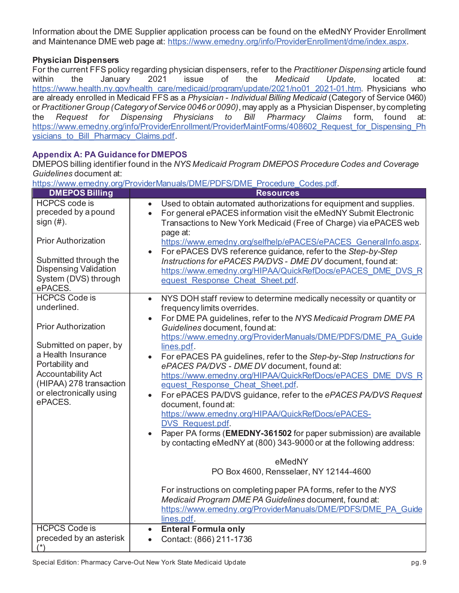Information about the DME Supplier application process can be found on the eMedNY Provider Enrollment and Maintenance DME web page at: https://www.emedny.org/info/ProviderEnrollment/dme/index.aspx.

# **Physician Dispensers**

For the current FFS policy regarding physician dispensers, refer to the *Practitioner Dispensing* article found within the January 2021 issue of the *Medicaid Update,* located at: https://www.health.ny.gov/health\_care/medicaid/program/update/2021/no01\_2021-01.htm. Physicians who are already enrolled in Medicaid FFS as a *Physician - Individual Billing Medicaid* (Category of Service 0460) or *Practitioner Group (Category of Service 0046 or 0090)*, may apply as a Physician Dispenser, by completing the *Request for Dispensing Physicians to Bill Pharmacy Claims* form, found at: https://www.emedny.org/info/ProviderEnrollment/ProviderMaintForms/408602 Request for Dispensing Ph ysicians\_to\_Bill\_Pharmacy\_Claims.pdf.

# **Appendix A: PA Guidance for DMEPOS**

DMEPOS billing identifier found in the *NYS Medicaid Program DMEPOS Procedure Codes and Coverage Guidelines* document at:

https://www.emedny.org/ProviderManuals/DME/PDFS/DME\_Procedure\_Codes.pdf.

| <b>DMEPOS Billing</b>                                                                                                                                                                                                              | <b>Resources</b>                                                                                                                                                                                                                                                                                                                                                                                                                                                                                                                                                                                                                                                                                                                                                                                                                                                                                                                                                                                                                                                                                                      |
|------------------------------------------------------------------------------------------------------------------------------------------------------------------------------------------------------------------------------------|-----------------------------------------------------------------------------------------------------------------------------------------------------------------------------------------------------------------------------------------------------------------------------------------------------------------------------------------------------------------------------------------------------------------------------------------------------------------------------------------------------------------------------------------------------------------------------------------------------------------------------------------------------------------------------------------------------------------------------------------------------------------------------------------------------------------------------------------------------------------------------------------------------------------------------------------------------------------------------------------------------------------------------------------------------------------------------------------------------------------------|
| <b>HCPCS</b> code is<br>preceded by a pound<br>sign(#).                                                                                                                                                                            | Used to obtain automated authorizations for equipment and supplies.<br>For general ePACES information visit the eMedNY Submit Electronic<br>Transactions to New York Medicaid (Free of Charge) via ePACES web<br>page at:                                                                                                                                                                                                                                                                                                                                                                                                                                                                                                                                                                                                                                                                                                                                                                                                                                                                                             |
| <b>Prior Authorization</b><br>Submitted through the<br><b>Dispensing Validation</b><br>System (DVS) through<br>ePACES.                                                                                                             | https://www.emedny.org/selfhelp/ePACES/ePACES GeneralInfo.aspx.<br>For ePACES DVS reference guidance, refer to the Step-by-Step<br>$\bullet$<br>Instructions for ePACES PA/DVS - DME DV document, found at:<br>https://www.emedny.org/HIPAA/QuickRefDocs/ePACES DME DVS R<br>equest Response Cheat Sheet.pdf.                                                                                                                                                                                                                                                                                                                                                                                                                                                                                                                                                                                                                                                                                                                                                                                                         |
| <b>HCPCS Code is</b><br>underlined.<br><b>Prior Authorization</b><br>Submitted on paper, by<br>a Health Insurance<br>Portability and<br><b>Accountability Act</b><br>(HIPAA) 278 transaction<br>or electronically using<br>ePACES. | NYS DOH staff review to determine medically necessity or quantity or<br>$\bullet$<br>frequency limits overrides.<br>For DME PA guidelines, refer to the NYS Medicaid Program DME PA<br>Guidelines document, found at:<br>https://www.emedny.org/ProviderManuals/DME/PDFS/DME PA Guide<br>lines.pdf.<br>For ePACES PA guidelines, refer to the Step-by-Step Instructions for<br>ePACES PA/DVS - DME DV document, found at:<br>https://www.emedny.org/HIPAA/QuickRefDocs/ePACES DME DVS R<br>equest Response Cheat Sheet.pdf.<br>For ePACES PA/DVS guidance, refer to the ePACES PA/DVS Request<br>$\bullet$<br>document, found at:<br>https://www.emedny.org/HIPAA/QuickRefDocs/ePACES-<br>DVS Request.pdf.<br>Paper PA forms (EMEDNY-361502 for paper submission) are available<br>by contacting eMedNY at (800) 343-9000 or at the following address:<br>eMedNY<br>PO Box 4600, Rensselaer, NY 12144-4600<br>For instructions on completing paper PA forms, refer to the NYS<br>Medicaid Program DME PA Guidelines document, found at:<br>https://www.emedny.org/ProviderManuals/DME/PDFS/DME PA Guide<br>lines.pdf. |
| <b>HCPCS Code is</b><br>preceded by an asterisk<br>$(*)$                                                                                                                                                                           | <b>Enteral Formula only</b><br>$\bullet$<br>Contact: (866) 211-1736<br>$\bullet$                                                                                                                                                                                                                                                                                                                                                                                                                                                                                                                                                                                                                                                                                                                                                                                                                                                                                                                                                                                                                                      |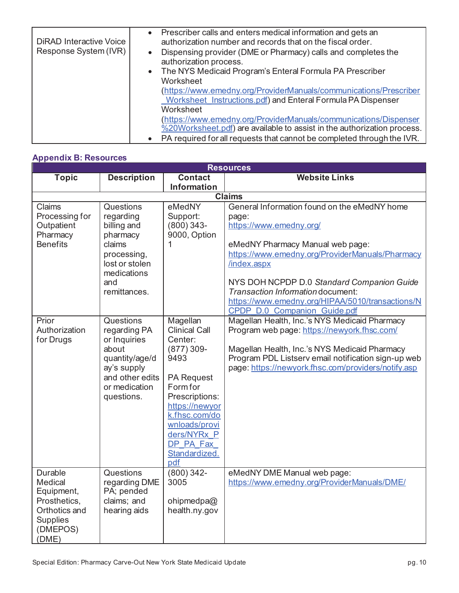| <b>DiRAD Interactive Voice</b><br>Response System (IVR) | Prescriber calls and enters medical information and gets an<br>$\bullet$<br>authorization number and records that on the fiscal order.<br>Dispensing provider (DME or Pharmacy) calls and completes the<br>$\bullet$<br>authorization process. |
|---------------------------------------------------------|------------------------------------------------------------------------------------------------------------------------------------------------------------------------------------------------------------------------------------------------|
|                                                         | The NYS Medicaid Program's Enteral Formula PA Prescriber<br>$\bullet$<br>Worksheet                                                                                                                                                             |
|                                                         | (https://www.emedny.org/ProviderManuals/communications/Prescriber<br>Worksheet Instructions.pdf) and Enteral Formula PA Dispenser                                                                                                              |
|                                                         | Worksheet                                                                                                                                                                                                                                      |
|                                                         | (https://www.emedny.org/ProviderManuals/communications/Dispenser                                                                                                                                                                               |
|                                                         | %20Worksheet.pdf) are available to assist in the authorization process.                                                                                                                                                                        |
|                                                         | PA required for all requests that cannot be completed through the IVR.<br>$\bullet$                                                                                                                                                            |

# **Appendix B: Resources**

| <b>Resources</b>                                                                                                 |                                                                                                                                       |                                                                                                                                                                                                                                |                                                                                                                                                                                                                                                                                                                               |  |
|------------------------------------------------------------------------------------------------------------------|---------------------------------------------------------------------------------------------------------------------------------------|--------------------------------------------------------------------------------------------------------------------------------------------------------------------------------------------------------------------------------|-------------------------------------------------------------------------------------------------------------------------------------------------------------------------------------------------------------------------------------------------------------------------------------------------------------------------------|--|
| <b>Topic</b>                                                                                                     | <b>Description</b>                                                                                                                    | <b>Contact</b><br><b>Information</b>                                                                                                                                                                                           | <b>Website Links</b>                                                                                                                                                                                                                                                                                                          |  |
|                                                                                                                  | <b>Claims</b>                                                                                                                         |                                                                                                                                                                                                                                |                                                                                                                                                                                                                                                                                                                               |  |
| Claims<br>Processing for<br>Outpatient<br>Pharmacy<br><b>Benefits</b>                                            | Questions<br>regarding<br>billing and<br>pharmacy<br>claims<br>processing,<br>lost or stolen<br>medications<br>and<br>remittances.    | eMedNY<br>Support:<br>$(800)$ 343-<br>9000, Option<br>$\mathbf{1}$                                                                                                                                                             | General Information found on the eMedNY home<br>page:<br>https://www.emedny.org/<br>eMedNY Pharmacy Manual web page:<br>https://www.emedny.org/ProviderManuals/Pharmacy<br>/index.aspx<br>NYS DOH NCPDP D.0 Standard Companion Guide<br>Transaction Information document:<br>https://www.emedny.org/HIPAA/5010/transactions/N |  |
|                                                                                                                  |                                                                                                                                       |                                                                                                                                                                                                                                | CPDP D.0 Companion Guide.pdf                                                                                                                                                                                                                                                                                                  |  |
| Prior<br>Authorization<br>for Drugs                                                                              | Questions<br>regarding PA<br>or Inquiries<br>about<br>quantity/age/d<br>ay's supply<br>and other edits<br>or medication<br>questions. | Magellan<br><b>Clinical Call</b><br>Center:<br>$(877)$ 309-<br>9493<br><b>PA Request</b><br>Form for<br>Prescriptions:<br>https://newyor<br>k.fhsc.com/do<br>wnloads/provi<br>ders/NYRx P<br>DP PA Fax<br>Standardized.<br>pdf | Magellan Health, Inc.'s NYS Medicaid Pharmacy<br>Program web page: https://newyork.fhsc.com/<br>Magellan Health, Inc.'s NYS Medicaid Pharmacy<br>Program PDL Listserv email notification sign-up web<br>page: https://newyork.fhsc.com/providers/notify.asp                                                                   |  |
| <b>Durable</b><br>Medical<br>Equipment,<br>Prosthetics,<br>Orthotics and<br><b>Supplies</b><br>(DMEPOS)<br>(DME) | Questions<br>regarding DME<br>PA; pended<br>claims; and<br>hearing aids                                                               | $(800)342-$<br>3005<br>ohipmedpa@<br>health.ny.gov                                                                                                                                                                             | eMedNY DME Manual web page:<br>https://www.emedny.org/ProviderManuals/DME/                                                                                                                                                                                                                                                    |  |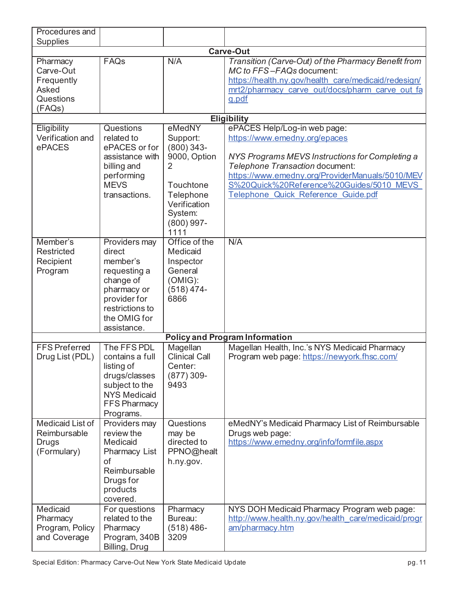| Procedures and                                                      |                                                                                                                                                   |                                                                                                                                      |                                                                                                                                                                                                                                                                                           |
|---------------------------------------------------------------------|---------------------------------------------------------------------------------------------------------------------------------------------------|--------------------------------------------------------------------------------------------------------------------------------------|-------------------------------------------------------------------------------------------------------------------------------------------------------------------------------------------------------------------------------------------------------------------------------------------|
| <b>Supplies</b>                                                     |                                                                                                                                                   |                                                                                                                                      |                                                                                                                                                                                                                                                                                           |
| <b>Carve-Out</b>                                                    |                                                                                                                                                   |                                                                                                                                      |                                                                                                                                                                                                                                                                                           |
| Pharmacy<br>Carve-Out<br>Frequently<br>Asked<br>Questions<br>(FAQs) | FAQs                                                                                                                                              | N/A                                                                                                                                  | Transition (Carve-Out) of the Pharmacy Benefit from<br>MC to FFS-FAQs document:<br>https://health.ny.gov/health_care/medicaid/redesign/<br>mrt2/pharmacy carve out/docs/pharm carve out fa<br><u>a.pdf</u>                                                                                |
|                                                                     |                                                                                                                                                   |                                                                                                                                      | <b>Eligibility</b>                                                                                                                                                                                                                                                                        |
| Eligibility<br>Verification and<br>ePACES                           | Questions<br>related to<br>ePACES or for<br>assistance with<br>billing and<br>performing<br><b>MEVS</b><br>transactions.                          | eMedNY<br>Support:<br>$(800)$ 343-<br>9000, Option<br>2<br>Touchtone<br>Telephone<br>Verification<br>System:<br>$(800)$ 997-<br>1111 | ePACES Help/Log-in web page:<br>https://www.emedny.org/epaces<br>NYS Programs MEVS Instructions for Completing a<br>Telephone Transaction document:<br>https://www.emedny.org/ProviderManuals/5010/MEV<br>S%20Quick%20Reference%20Guides/5010 MEVS<br>Telephone Quick Reference Guide.pdf |
| Member's<br><b>Restricted</b><br>Recipient<br>Program               | Providers may<br>direct<br>member's<br>requesting a<br>change of<br>pharmacy or<br>provider for<br>restrictions to<br>the OMIG for<br>assistance. | Office of the<br>Medicaid<br>Inspector<br>General<br>(OMIG):<br>$(518)$ 474-<br>6866                                                 | N/A                                                                                                                                                                                                                                                                                       |
|                                                                     |                                                                                                                                                   |                                                                                                                                      | <b>Policy and Program Information</b>                                                                                                                                                                                                                                                     |
| <b>FFS Preferred</b><br>Drug List (PDL)                             | The FFS PDL<br>contains a full<br>listing of<br>drugs/classes<br>subject to the<br><b>NYS Medicaid</b><br>FFS Pharmacy<br>Programs.               | Magellan<br><b>Clinical Call</b><br>Center:<br>$(877)$ 309-<br>9493                                                                  | Magellan Health, Inc.'s NYS Medicaid Pharmacy<br>Program web page: https://newyork.fhsc.com/                                                                                                                                                                                              |
| Medicaid List of<br>Reimbursable<br>Drugs<br>(Formulary)            | Providers may<br>review the<br>Medicaid<br>Pharmacy List<br>of<br>Reimbursable<br>Drugs for<br>products<br>covered.                               | Questions<br>may be<br>directed to<br>PPNO@healt<br>h.ny.gov.                                                                        | eMedNY's Medicaid Pharmacy List of Reimbursable<br>Drugs web page:<br>https://www.emedny.org/info/formfile.aspx                                                                                                                                                                           |
| Medicaid<br>Pharmacy<br>Program, Policy<br>and Coverage             | For questions<br>related to the<br>Pharmacy<br>Program, 340B<br>Billing, Drug                                                                     | Pharmacy<br>Bureau:<br>$(518)$ 486-<br>3209                                                                                          | NYS DOH Medicaid Pharmacy Program web page:<br>http://www.health.ny.gov/health care/medicaid/progr<br>am/pharmacy.htm                                                                                                                                                                     |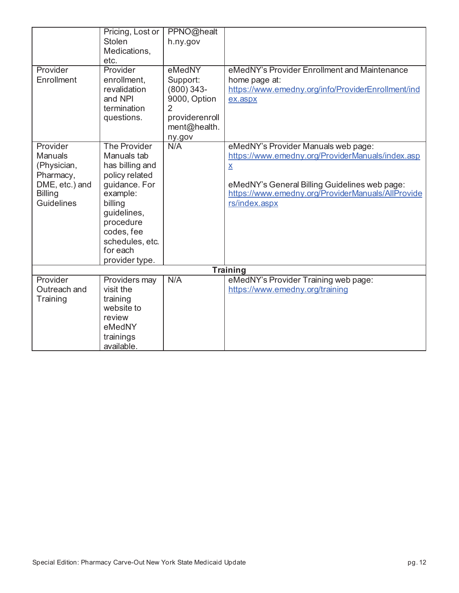| Provider                                                                                                        | Pricing, Lost or<br><b>Stolen</b><br>Medications,<br>etc.<br>Provider                                                                                                                                      | PPNO@healt<br>h.ny.gov<br>eMedNY                                                                       | eMedNY's Provider Enrollment and Maintenance                                                                                                                                                                                               |
|-----------------------------------------------------------------------------------------------------------------|------------------------------------------------------------------------------------------------------------------------------------------------------------------------------------------------------------|--------------------------------------------------------------------------------------------------------|--------------------------------------------------------------------------------------------------------------------------------------------------------------------------------------------------------------------------------------------|
| Enrollment                                                                                                      | enrollment,<br>revalidation<br>and NPI<br>termination<br>questions.                                                                                                                                        | Support:<br>$(800)$ 343-<br>9000, Option<br>$\overline{2}$<br>providerenroll<br>ment@health.<br>ny.gov | home page at:<br>https://www.emedny.org/info/ProviderEnrollment/ind<br>ex.aspx                                                                                                                                                             |
| Provider<br><b>Manuals</b><br>(Physician,<br>Pharmacy,<br>DME, etc.) and<br><b>Billing</b><br><b>Guidelines</b> | <b>The Provider</b><br>Manuals tab<br>has billing and<br>policy related<br>guidance. For<br>example:<br>billing<br>guidelines,<br>procedure<br>codes, fee<br>schedules, etc.<br>for each<br>provider type. | N/A                                                                                                    | eMedNY's Provider Manuals web page:<br>https://www.emedny.org/ProviderManuals/index.asp<br>$\underline{\mathsf{X}}$<br>eMedNY's General Billing Guidelines web page:<br>https://www.emedny.org/ProviderManuals/AllProvide<br>rs/index.aspx |
|                                                                                                                 | <b>Training</b>                                                                                                                                                                                            |                                                                                                        |                                                                                                                                                                                                                                            |
| Provider<br>Outreach and<br>Training                                                                            | Providers may<br>visit the<br>training<br>website to<br>review<br>eMedNY<br>trainings<br>available.                                                                                                        | N/A                                                                                                    | eMedNY's Provider Training web page:<br>https://www.emedny.org/training                                                                                                                                                                    |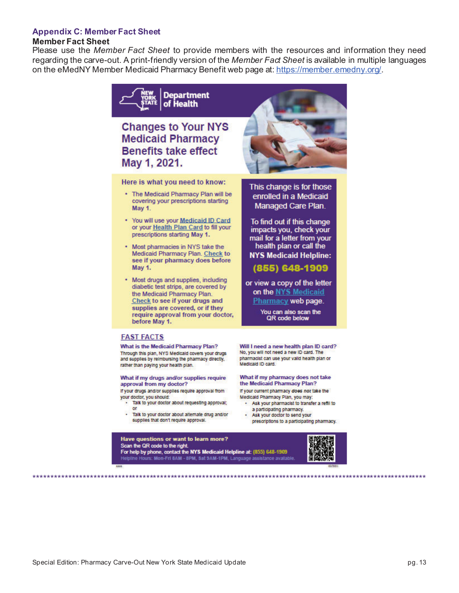#### **Appendix C: Member Fact Sheet**

#### **Member Fact Sheet**

Please use the *Member Fact Sheet* to provide members with the resources and information they need regarding the carve-out. A print-friendly version of the *Member Fact Sheet* is available in multiple languages on the eMedNY Member Medicaid Pharmacy Benefit web page at: https://member.emedny.org/.



# **Changes to Your NYS Medicaid Pharmacy Benefits take effect** May 1, 2021.

Here is what you need to know:

- The Medicaid Pharmacy Plan will be covering your prescriptions starting May 1.
- . You will use your Medicaid ID Card or your Health Plan Card to fill your prescriptions starting May 1.
- \* Most pharmacies in NYS take the Medicaid Pharmacy Plan. Check to see if your pharmacy does before May 1.
- Most drugs and supplies, including diabetic test strips, are covered by the Medicaid Pharmacy Plan. Check to see if your drugs and supplies are covered, or if they require approval from your doctor, before May 1.



What is the Medicaid Pharmacy Plan? Through this plan, NYS Medicald covers your drugs and supplies by reimbursing the pharmacy directly, rather than paying your health plan.

What if my drugs and/or supplies require approval from my doctor?

If your drugs and/or supplies require approval from your doctor, you should:

- Talk to your doctor about requesting approval; or
- Talk to your doctor about alternate drug and/or supplies that don't require approval.



This change is for those enrolled in a Medicaid Managed Care Plan.

To find out if this change impacts you, check your mail for a letter from your health plan or call the **NYS Medicaid Helpline:** 

(855) 648-1909

or view a copy of the letter on the NYS Medicaid Pharmacy web page.

> You can also scan the QR code below

Will I need a new health plan ID card? No, you will not need a new ID card. The pharmacist can use your valid health plan or .<br>Medicald ID card.

#### What if my pharmacy does not take the Medicaid Pharmacy Plan?

If your current pharmacy does not take the Medicald Pharmacy Plan, you may:

- Ask your pharmacist to transfer a refill to a participating pharmacy.
- Ask your doctor to send your prescriptions to a participating pharmacy.



Have questions or want to learn more? Scan the QR code to the right. For help by phone, contact the NYS Medicaid Helpline at: (855) 648-1909 urs: Mon-Fri 8AM - 8PM, Sat 9AM-1PM, Language assistance available

\*\*\*\*\*\*\*\*\*\*\*\*\*\*\*\*\*\*\*\*\*\*\*\*\*\*\*\*\*\*\*\*\*\*\*\*\*\*\*\*\*\*\*\*\*\*\*\*\*\*\*\*\*\*\*\*\*\*\*\*\*\*\*\*\*\*\*\*\*\*\*\*\*\*\*\*\*\*\*\*\*\*\*\*\*\*\*\*\*\*\*\*\*\*\*\*\*\*\*\*\*\*\*\*\*\*\*\*\*\*\*\*